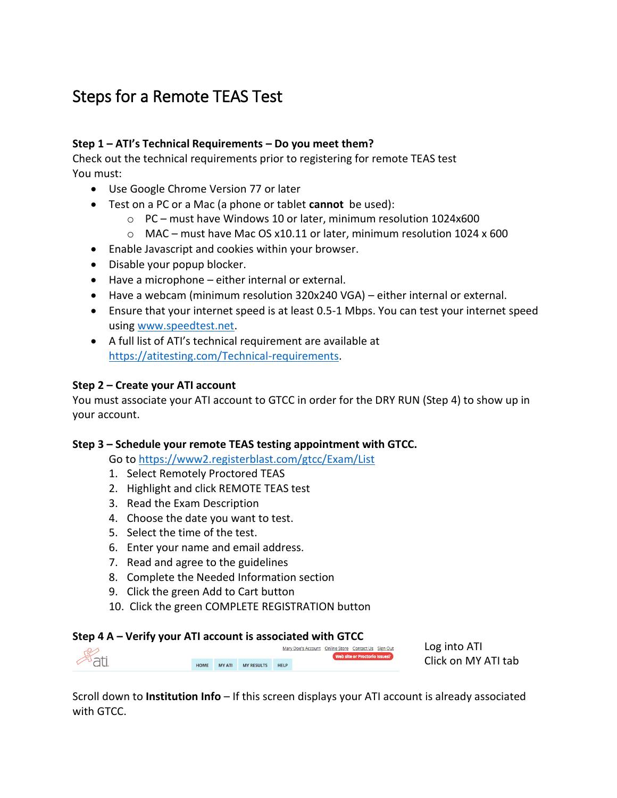# Steps for a Remote TEAS Test

# **Step 1 – ATI's Technical Requirements – Do you meet them?**

Check out the technical requirements prior to registering for remote TEAS test You must:

- Use Google Chrome Version 77 or later
- Test on a PC or a Mac (a phone or tablet **cannot** be used):
	- o PC must have Windows 10 or later, minimum resolution 1024x600
	- $\circ$  MAC must have Mac OS x10.11 or later, minimum resolution 1024 x 600
- Enable Javascript and cookies within your browser.
- Disable your popup blocker.
- Have a microphone either internal or external.
- Have a webcam (minimum resolution 320x240 VGA) either internal or external.
- Ensure that your internet speed is at least 0.5-1 Mbps. You can test your internet speed using [www.speedtest.net.](http://www.speedtest.net/)
- A full list of ATI's technical requirement are available at [https://atitesting.com/Technical-requirements.](https://atitesting.com/Technical-requirements)

### **Step 2 – Create your ATI account**

You must associate your ATI account to GTCC in order for the DRY RUN (Step 4) to show up in your account.

### **Step 3 – Schedule your remote TEAS testing appointment with GTCC.**

Go t[o https://www2.registerblast.com/gtcc/Exam/List](https://www2.registerblast.com/gtcc/Exam/List)

- 1. Select Remotely Proctored TEAS
- 2. Highlight and click REMOTE TEAS test
- 3. Read the Exam Description
- 4. Choose the date you want to test.
- 5. Select the time of the test.
- 6. Enter your name and email address.
- 7. Read and agree to the guidelines
- 8. Complete the Needed Information section
- 9. Click the green Add to Cart button
- 10. Click the green COMPLETE REGISTRATION button

#### **Step 4 A – Verify your ATI account is associated with GTCC**

Mary Doe's Account Online Store Contact Us Sign Out Web site or Proctorio Issues? HOME MYATI MYRESULTS HELP

Log into ATI Click on MY ATI tab

Scroll down to **Institution Info** – If this screen displays your ATI account is already associated with GTCC.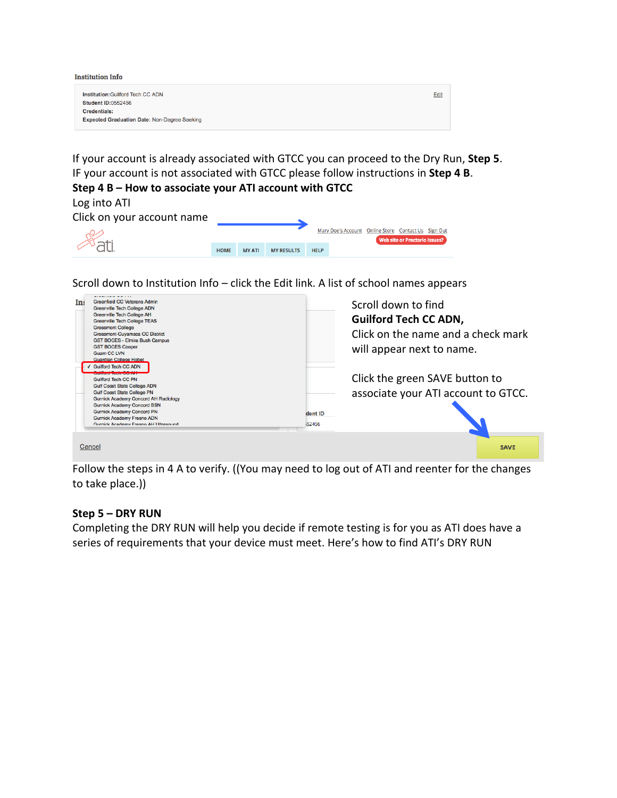| <b>Institution Info</b>                             |      |
|-----------------------------------------------------|------|
| Institution: Guilford Tech CC ADN                   | Edit |
| <b>Student ID:0552456</b>                           |      |
| Credentials:                                        |      |
| <b>Expected Graduation Date: Non-Degree Seeking</b> |      |

If your account is already associated with GTCC you can proceed to the Dry Run, **Step 5**. IF your account is not associated with GTCC please follow instructions in **Step 4 B**.

|   |  | Step 4 B – How to associate your ATI account with GTCC |  |  |  |  |  |
|---|--|--------------------------------------------------------|--|--|--|--|--|
| . |  |                                                        |  |  |  |  |  |

Log into ATI

| Click on your account name |             |               |                   |             |                                                     |                               |  |
|----------------------------|-------------|---------------|-------------------|-------------|-----------------------------------------------------|-------------------------------|--|
|                            |             |               |                   |             | Mary Doe's Account Online Store Contact Us Sign Out | Web site or Proctorio Issues? |  |
| <sup>ব্য</sup> না          | <b>HOME</b> | <b>MY ATI</b> | <b>MY RESULTS</b> | <b>HELP</b> |                                                     |                               |  |

Scroll down to Institution Info – click the Edit link. A list of school names appears

| In: | <b>Greenfield CC Veterans Admin</b><br>Greenville Tech College ADN<br>Greenville Tech College AH<br><b>Greenville Tech College TEAS</b><br><b>Grossmont College</b><br>Grossmont-Cuyamaca CC District<br><b>GST BOCES - Elmira Bush Campus</b><br><b>GST BOCES Cooper</b><br><b>Guam CC LVN</b><br><b>Guardian College Hobet</b><br><b>Guilford Tech CC ADN</b><br><b>PERMITTEN AND EXPERIMENTAL PROPERTY</b><br><b>Guilford Tech CC PN</b><br><b>Gulf Coast State College ADN</b><br><b>Gulf Coast State College PN</b><br><b>Gurnick Academy Concord AH Radiology</b><br><b>Gurnick Academy Concord BSN</b><br><b>Gurnick Academy Concord PN</b><br><b>Gurnick Academy Fresno ADN</b><br>Gurnick Academy Fresno AH Ultrasound | dent ID<br>152456 | Scroll down to find<br><b>Guilford Tech CC ADN,</b><br>Click on the name and a check mark<br>will appear next to name.<br>Click the green SAVE button to<br>associate your ATI account to GTCC. |
|-----|---------------------------------------------------------------------------------------------------------------------------------------------------------------------------------------------------------------------------------------------------------------------------------------------------------------------------------------------------------------------------------------------------------------------------------------------------------------------------------------------------------------------------------------------------------------------------------------------------------------------------------------------------------------------------------------------------------------------------------|-------------------|-------------------------------------------------------------------------------------------------------------------------------------------------------------------------------------------------|
|     | Cancel                                                                                                                                                                                                                                                                                                                                                                                                                                                                                                                                                                                                                                                                                                                          |                   | <b>SAVE</b>                                                                                                                                                                                     |

Follow the steps in 4 A to verify. ((You may need to log out of ATI and reenter for the changes to take place.))

### **Step 5 – DRY RUN**

Completing the DRY RUN will help you decide if remote testing is for you as ATI does have a series of requirements that your device must meet. Here's how to find ATI's DRY RUN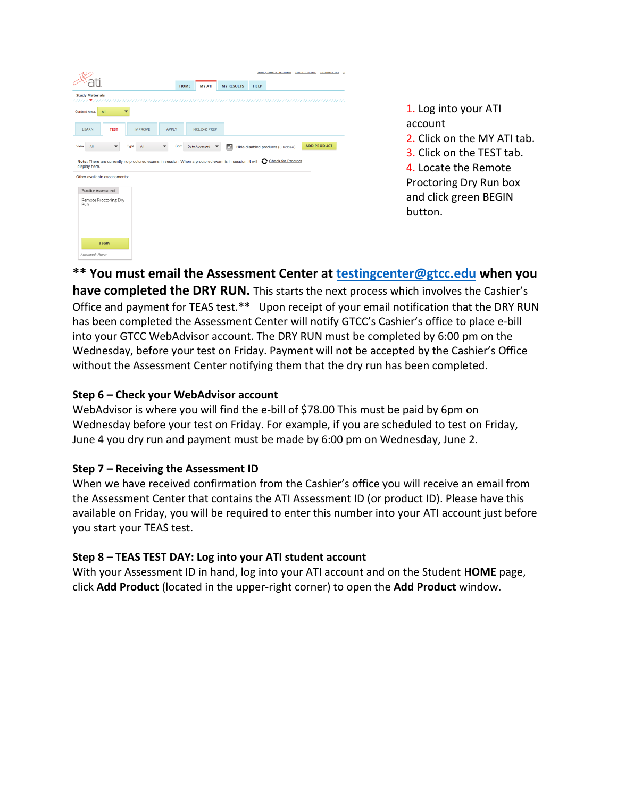|                                                                                                                                             |                |             |                    |                          |             | colors and a more complete than the color of the color of the color of the color of the color of the color of the color of the color of the color of the color of the color of the color of the color of the color of the colo |                    |  |
|---------------------------------------------------------------------------------------------------------------------------------------------|----------------|-------------|--------------------|--------------------------|-------------|--------------------------------------------------------------------------------------------------------------------------------------------------------------------------------------------------------------------------------|--------------------|--|
|                                                                                                                                             |                | <b>HOME</b> | <b>MY ATI</b>      | <b>MY RESULTS</b>        | <b>HELP</b> |                                                                                                                                                                                                                                |                    |  |
| <b>Study Materials</b><br>111111 <i>•111111111111</i>                                                                                       |                |             | ,,,,,,,,,,,,,,,,   |                          |             |                                                                                                                                                                                                                                |                    |  |
| Content Area:<br>All                                                                                                                        |                |             |                    |                          |             |                                                                                                                                                                                                                                |                    |  |
| LEARN<br><b>TEST</b>                                                                                                                        | <b>IMPROVE</b> | APPLY       | <b>NCLEX® PREP</b> |                          |             |                                                                                                                                                                                                                                |                    |  |
| View<br>All<br>▼                                                                                                                            | Type<br>All    | Sort        | Date Accessed      | $\overline{\mathcal{L}}$ |             | Hide disabled products (0 hidden)                                                                                                                                                                                              | <b>ADD PRODUCT</b> |  |
| Note: There are currently no proctored exams in session. When a proctored exam is in session, it will C Check for Proctors<br>display here. |                |             |                    |                          |             |                                                                                                                                                                                                                                |                    |  |
|                                                                                                                                             |                |             |                    |                          |             |                                                                                                                                                                                                                                |                    |  |
| Other available assessments:                                                                                                                |                |             |                    |                          |             |                                                                                                                                                                                                                                |                    |  |
| Practice Assessment                                                                                                                         |                |             |                    |                          |             |                                                                                                                                                                                                                                |                    |  |
| Remote Proctoring Dry<br>Run                                                                                                                |                |             |                    |                          |             |                                                                                                                                                                                                                                |                    |  |
|                                                                                                                                             |                |             |                    |                          |             |                                                                                                                                                                                                                                |                    |  |
|                                                                                                                                             |                |             |                    |                          |             |                                                                                                                                                                                                                                |                    |  |
| <b>BEGIN</b>                                                                                                                                |                |             |                    |                          |             |                                                                                                                                                                                                                                |                    |  |

1. Log into your ATI account 2. Click on the MY ATI tab. 3. Click on the TEST tab. 4. Locate the Remote Proctoring Dry Run box and click green BEGIN button.

**\*\* You must email the Assessment Center at [testingcenter@gtcc.edu](mailto:testingcenter@gtcc.edu) when you** 

**have completed the DRY RUN.** This starts the next process which involves the Cashier's Office and payment for TEAS test.**\*\*** Upon receipt of your email notification that the DRY RUN has been completed the Assessment Center will notify GTCC's Cashier's office to place e-bill into your GTCC WebAdvisor account. The DRY RUN must be completed by 6:00 pm on the Wednesday, before your test on Friday. Payment will not be accepted by the Cashier's Office without the Assessment Center notifying them that the dry run has been completed.

# **Step 6 – Check your WebAdvisor account**

WebAdvisor is where you will find the e-bill of \$78.00 This must be paid by 6pm on Wednesday before your test on Friday. For example, if you are scheduled to test on Friday, June 4 you dry run and payment must be made by 6:00 pm on Wednesday, June 2.

### **Step 7 – Receiving the Assessment ID**

When we have received confirmation from the Cashier's office you will receive an email from the Assessment Center that contains the ATI Assessment ID (or product ID). Please have this available on Friday, you will be required to enter this number into your ATI account just before you start your TEAS test.

### **Step 8 – TEAS TEST DAY: Log into your ATI student account**

With your Assessment ID in hand, log into your ATI account and on the Student **HOME** page, click **Add Product** (located in the upper-right corner) to open the **Add Product** window.